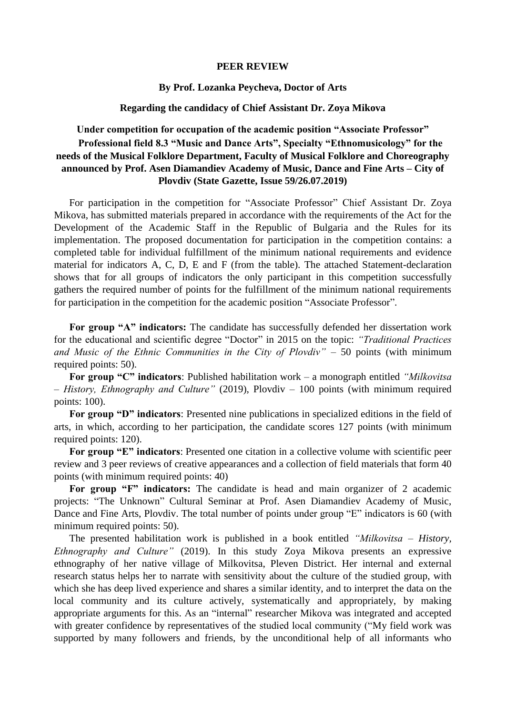#### **PEER REVIEW**

## **By Prof. Lozanka Peycheva, Doctor of Arts**

# **Regarding the candidacy of Chief Assistant Dr. Zoya Mikova**

#### **Under competition for occupation of the academic position "Associate Professor"**

# **Professional field 8.3 "Music and Dance Arts", Specialty "Ethnomusicology" for the needs of the Musical Folklore Department, Faculty of Musical Folklore and Choreography announced by Prof. Asen Diamandiev Academy of Music, Dance and Fine Arts – City of Plovdiv (State Gazette, Issue 59/26.07.2019)**

For participation in the competition for "Associate Professor" Chief Assistant Dr. Zoya Mikova, has submitted materials prepared in accordance with the requirements of the Act for the Development of the Academic Staff in the Republic of Bulgaria and the Rules for its implementation. The proposed documentation for participation in the competition contains: a completed table for individual fulfillment of the minimum national requirements and evidence material for indicators A, C, D, E and F (from the table). The attached Statement-declaration shows that for all groups of indicators the only participant in this competition successfully gathers the required number of points for the fulfillment of the minimum national requirements for participation in the competition for the academic position "Associate Professor".

**For group "A" indicators:** The candidate has successfully defended her dissertation work for the educational and scientific degree "Doctor" in 2015 on the topic: *"Traditional Practices and Music of the Ethnic Communities in the City of Plovdiv"* – 50 points (with minimum required points: 50).

**For group "C" indicators**: Published habilitation work – a monograph entitled *"Milkovitsa – History, Ethnography and Culture"* (2019), Plovdiv – 100 points (with minimum required points: 100).

**For group "D" indicators**: Presented nine publications in specialized editions in the field of arts, in which, according to her participation, the candidate scores 127 points (with minimum required points: 120).

**For group "E" indicators**: Presented one citation in a collective volume with scientific peer review and 3 peer reviews of creative appearances and a collection of field materials that form 40 points (with minimum required points: 40)

**For group "F" indicators:** The candidate is head and main organizer of 2 academic projects: "The Unknown" Cultural Seminar at Prof. Asen Diamandiev Academy of Music, Dance and Fine Arts, Plovdiv. The total number of points under group "E" indicators is 60 (with minimum required points: 50).

The presented habilitation work is published in a book entitled *"Milkovitsa – History, Ethnography and Culture"* (2019). In this study Zoya Mikova presents an expressive ethnography of her native village of Milkovitsa, Pleven District. Her internal and external research status helps her to narrate with sensitivity about the culture of the studied group, with which she has deep lived experience and shares a similar identity, and to interpret the data on the local community and its culture actively, systematically and appropriately, by making appropriate arguments for this. As an "internal" researcher Mikova was integrated and accepted with greater confidence by representatives of the studied local community ("My field work was supported by many followers and friends, by the unconditional help of all informants who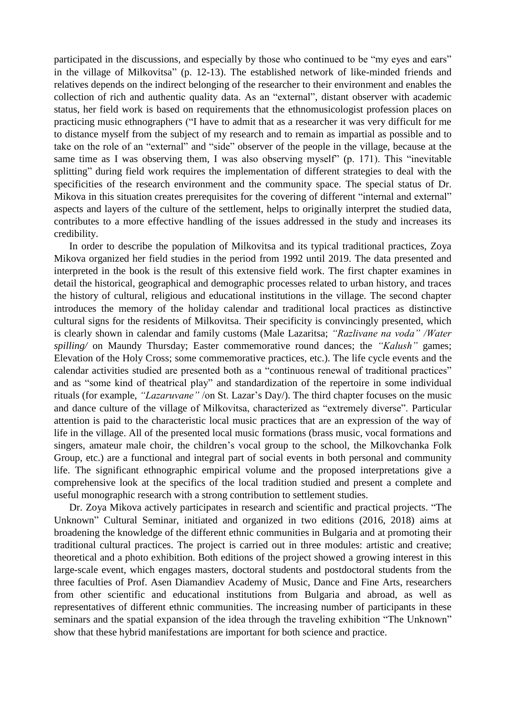participated in the discussions, and especially by those who continued to be "my eyes and ears" in the village of Milkovitsa" (p. 12-13). The established network of like-minded friends and relatives depends on the indirect belonging of the researcher to their environment and enables the collection of rich and authentic quality data. As an "external", distant observer with academic status, her field work is based on requirements that the ethnomusicologist profession places on practicing music ethnographers ("I have to admit that as a researcher it was very difficult for me to distance myself from the subject of my research and to remain as impartial as possible and to take on the role of an "external" and "side" observer of the people in the village, because at the same time as I was observing them, I was also observing myself" (p. 171). This "inevitable splitting" during field work requires the implementation of different strategies to deal with the specificities of the research environment and the community space. The special status of Dr. Mikova in this situation creates prerequisites for the covering of different "internal and external" aspects and layers of the culture of the settlement, helps to originally interpret the studied data, contributes to a more effective handling of the issues addressed in the study and increases its credibility.

In order to describe the population of Milkovitsa and its typical traditional practices, Zoya Mikova organized her field studies in the period from 1992 until 2019. The data presented and interpreted in the book is the result of this extensive field work. The first chapter examines in detail the historical, geographical and demographic processes related to urban history, and traces the history of cultural, religious and educational institutions in the village. The second chapter introduces the memory of the holiday calendar and traditional local practices as distinctive cultural signs for the residents of Milkovitsa. Their specificity is convincingly presented, which is clearly shown in calendar and family customs (Male Lazaritsa; *"Razlivane na voda" /Water spilling/* on Maundy Thursday; Easter commemorative round dances; the *"Kalush"* games; Elevation of the Holy Cross; some commemorative practices, etc.). The life cycle events and the calendar activities studied are presented both as a "continuous renewal of traditional practices" and as "some kind of theatrical play" and standardization of the repertoire in some individual rituals (for example, *"Lazaruvane"* /on St. Lazar's Day/). The third chapter focuses on the music and dance culture of the village of Milkovitsa, characterized as "extremely diverse". Particular attention is paid to the characteristic local music practices that are an expression of the way of life in the village. All of the presented local music formations (brass music, vocal formations and singers, amateur male choir, the children's vocal group to the school, the Milkovchanka Folk Group, etc.) are a functional and integral part of social events in both personal and community life. The significant ethnographic empirical volume and the proposed interpretations give a comprehensive look at the specifics of the local tradition studied and present a complete and useful monographic research with a strong contribution to settlement studies.

Dr. Zoya Mikova actively participates in research and scientific and practical projects. "The Unknown" Cultural Seminar, initiated and organized in two editions (2016, 2018) aims at broadening the knowledge of the different ethnic communities in Bulgaria and at promoting their traditional cultural practices. The project is carried out in three modules: artistic and creative; theoretical and a photo exhibition. Both editions of the project showed a growing interest in this large-scale event, which engages masters, doctoral students and postdoctoral students from the three faculties of Prof. Asen Diamandiev Academy of Music, Dance and Fine Arts, researchers from other scientific and educational institutions from Bulgaria and abroad, as well as representatives of different ethnic communities. The increasing number of participants in these seminars and the spatial expansion of the idea through the traveling exhibition "The Unknown" show that these hybrid manifestations are important for both science and practice.